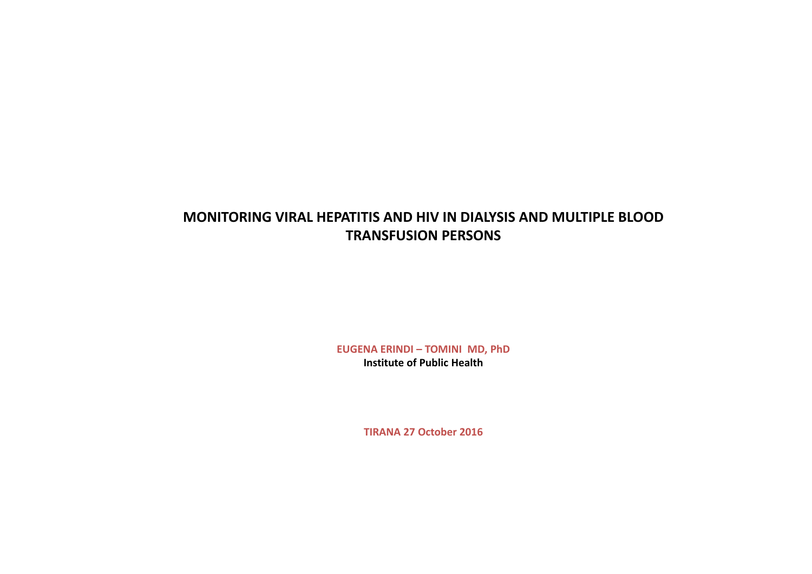# **MONITORING VIRAL HEPATITIS AND HIV IN DIALYSIS AND MULTIPLE BLOOD TRANSFUSION PERSONS**

**EUGENA ERINDI – TOMINI MD, PhD Institute of Public Health**

**TIRANA 27 October 2016**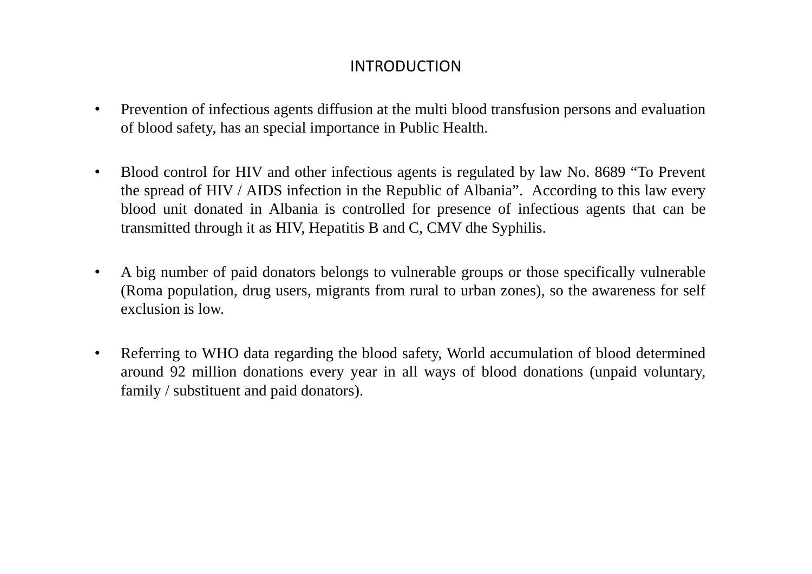# INTRODUCTION

- $\bullet$  Prevention of infectious agents diffusion at the multi blood transfusion persons and evaluation of blood safety, has an special importance in Public Health.
- • Blood control for HIV and other infectious agents is regulated by law No. 8689 "To Prevent the spread of HIV / AIDS infection in the Republic of Albania". According to this law every blood unit donated in Albania is controlled for presence of infectious agents that can be transmitted through it as HIV, Hepatitis B and C, CMV dhe Syphilis.
- • A big number of paid donators belongs to vulnerable groups or those specifically vulnerable (Roma population, drug users, migrants from rural to urban zones), so the awareness for self exclusion is low.
- • Referring to WHO data regarding the blood safety, World accumulation of blood determined around 92 million donations every year in all ways of blood donations (unpaid voluntary, family / substituent and paid donators).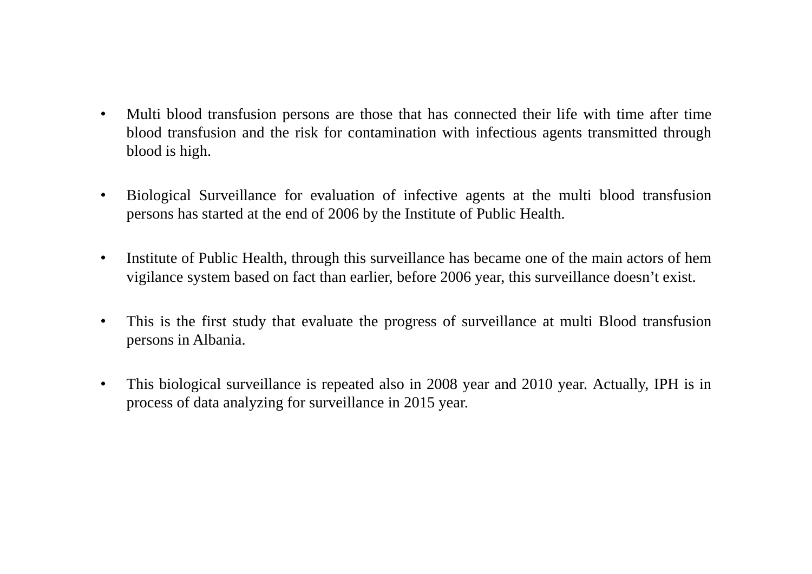- • Multi blood transfusion persons are those that has connected their life with time after time blood transfusion and the risk for contamination with infectious agents transmitted through blood is high.
- $\bullet$  Biological Surveillance for evaluation of infective agents at the multi blood transfusion persons has started at the end of 2006 by the Institute of Public Health.
- $\bullet$  Institute of Public Health, through this surveillance has became one of the main actors of hem vigilance system based on fact than earlier, before 2006 year, this surveillance doesn't exist.
- $\bullet$  This is the first study that evaluate the progress of surveillance at multi Blood transfusion persons in Albania.
- • This biological surveillance is repeated also in 2008 year and 2010 year. Actually, IPH is in process of data analyzing for surveillance in 2015 year.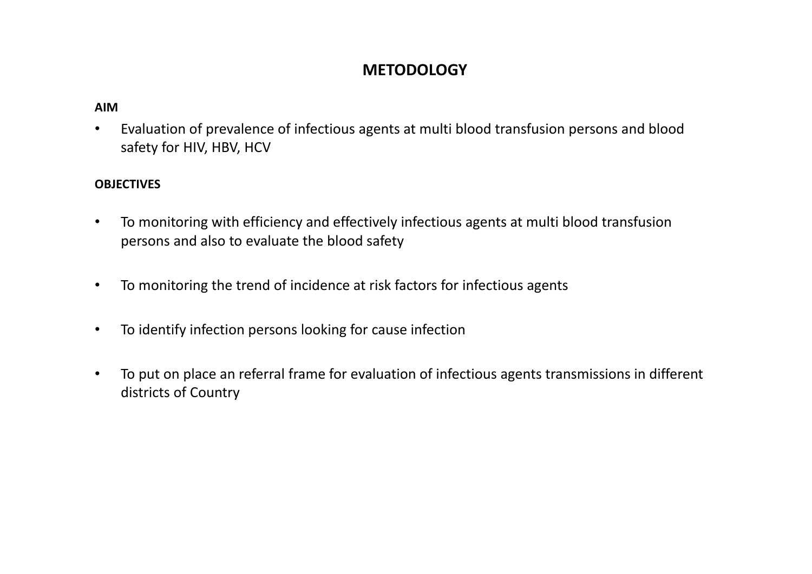# **METODOLOGY**

### **AIM**

• Evaluation of prevalence of infectious agents at multi blood transfusion persons and blood safety for HIV, HBV, HCV

### **OBJECTIVES**

- • To monitoring with efficiency and effectively infectious agents at multi blood transfusion persons and also to evaluate the blood safety
- •To monitoring the trend of incidence at risk factors for infectious agents
- $\bullet$ To identify infection persons looking for cause infection
- • To put on place an referral frame for evaluation of infectious agents transmissions in different districts of Country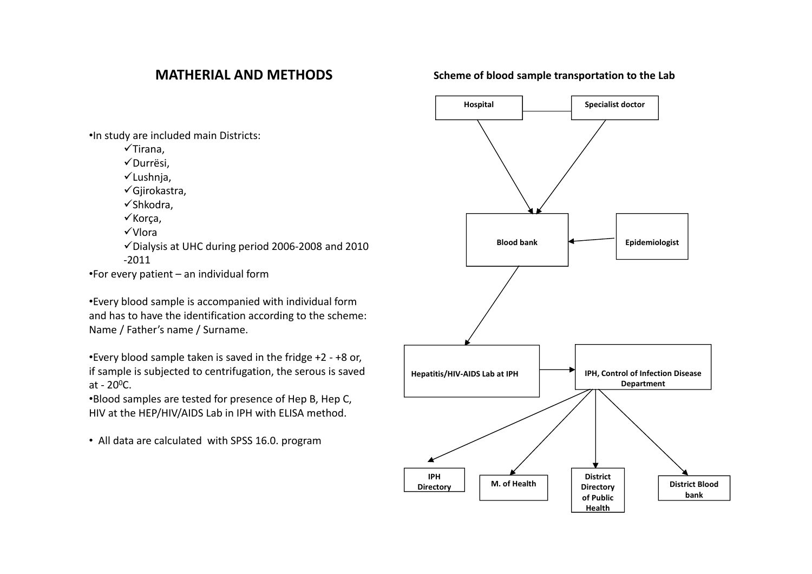### **MATHERIAL AND METHODS**

### **Scheme of blood sample transportation to the Lab**

•In study are included main Districts:

 $\checkmark$ Tirana,

√Durrësi.

 $\checkmark$ Lushnja,

Gjirokastra,

 $\checkmark$ Shkodra,

 $\checkmark$  Korça,

Vlora

Dialysis at UHC during period <sup>2006</sup>‐<sup>2008</sup> and <sup>2010</sup> ‐2011

•For every patient – an individual form

•Every blood sample is accompanied with individual form and has to have the identification according to the scheme: Name / Father's name / Surname.

•Every blood sample taken is saved in the fridge +2 ‐ +8 or, if sample is subjected to centrifugation, the serous is saved at - 20 $^{\mathrm{o}}$ C.

•Blood samples are tested for presence of Hep B, Hep C, HIV at the HEP/HIV/AIDS Lab in IPH with ELISA method.

• All data are calculated with SPSS 16.0. program

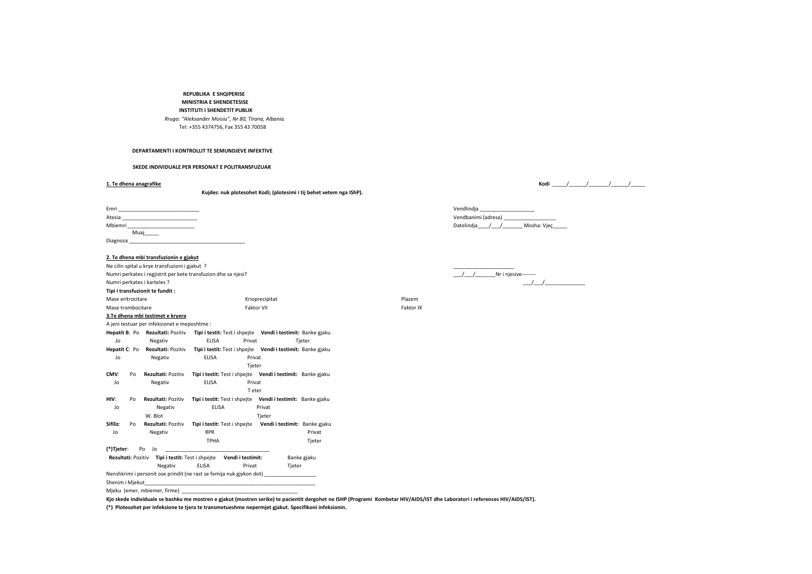#### **REPUBLIKA E SHQIPERISE MINISTRIA E SHENDETESISE INSTITUTI I SHENDETIT PUBLIK** *Rruga: "Aleksander Moisiu", Nr 80, Tirana, Albania.*

Tel: +355 4374756, Fax 355 43 70058

#### **DEPARTAMENTI I KONTROLLIT TE SEMUNDJEVE INFEKTIVE**

**SKEDE INDIVIDUALE PER PERSONAT E POLITRANSFUZUAR**

#### **1. Te**

**Kujdes: nuk plotesohet Kodi; (plotesimi i tij behet vetem nga IShP).**

| Emri       | Vendlindia                |
|------------|---------------------------|
| Atesia     | Vendbanimi (adresa)       |
| Mbiemri    | Datelindia<br>Mosha: Vjec |
| Muaj______ |                           |
| Diagnoza   |                           |

#### **2. Te dhena mbi transfuzionin <sup>e</sup> gjakut**

|                             |    | Ne cilin spital u krye transfuzioni i gjakut ?                       |                               |        |                                                             |             |           |           |
|-----------------------------|----|----------------------------------------------------------------------|-------------------------------|--------|-------------------------------------------------------------|-------------|-----------|-----------|
|                             |    | Numri perkates i regjistrit per kete transfuzion dhe sa njesi?       |                               |        |                                                             |             |           | Nr i njes |
| Numri perkates i karteles ? |    |                                                                      |                               |        |                                                             |             |           |           |
|                             |    | Tipi i transfuzionit te fundit :                                     |                               |        |                                                             |             |           |           |
| Mase eritrocitare           |    |                                                                      |                               |        | Krioprecipitat                                              |             | Plazem    |           |
| Mase trombocitare           |    |                                                                      |                               |        | <b>Faktor VII</b>                                           |             | Faktor IX |           |
|                             |    | 3. Te dhena mbi testimet e kryera                                    |                               |        |                                                             |             |           |           |
|                             |    | A jeni testuar per infeksionet e meposhtme :                         |                               |        |                                                             |             |           |           |
|                             |    | Hepatit B: Po Rezultati: Pozitiv                                     |                               |        | Tipi i testit: Test i shpejte Vendi i testimit: Banke gjaku |             |           |           |
| Jo                          |    | Negativ                                                              | <b>ELISA</b>                  | Privat |                                                             | Tjeter      |           |           |
| Hepatit C: Po               |    | Rezultati: Pozitiv                                                   |                               |        | Tipi i testit: Test i shpejte Vendi i testimit: Banke gjaku |             |           |           |
| Jo                          |    | Negativ                                                              | <b>ELISA</b>                  | Privat |                                                             |             |           |           |
|                             |    |                                                                      |                               | Tjeter |                                                             |             |           |           |
| CMV:                        | Po | Rezultati: Pozitiv                                                   |                               |        | Tipi i testit: Test i shpejte Vendi i testimit: Banke gjaku |             |           |           |
| Jo                          |    | Negativ                                                              | <b>ELISA</b>                  | Privat |                                                             |             |           |           |
|                             |    |                                                                      |                               | T eter |                                                             |             |           |           |
| HIV:                        | Po | Rezultati: Pozitiv                                                   |                               |        | Tipi i testit: Test i shpejte Vendi i testimit: Banke gjaku |             |           |           |
| Jo                          |    | Negativ                                                              | <b>ELISA</b>                  |        | Privat                                                      |             |           |           |
|                             |    | W. Blot                                                              |                               |        | Tjeter                                                      |             |           |           |
| Sifiliz:                    | Po | Rezultati: Pozitiv                                                   | Tipi i testit: Test i shpejte |        | Vendi i testimit: Banke gjaku                               |             |           |           |
| Jo                          |    | Negativ                                                              | <b>RPR</b>                    |        |                                                             | Privat      |           |           |
|                             |    |                                                                      | <b>TPHA</b>                   |        |                                                             | Tjeter      |           |           |
| (*)Tjeter:                  | Po | Jo                                                                   |                               |        |                                                             |             |           |           |
|                             |    | Rezultati: Pozitiv Tipi i testit: Test i shpejte Vendi i testimit:   |                               |        |                                                             | Banke gjaku |           |           |
|                             |    | Negativ                                                              | <b>ELISA</b>                  | Privat | Tjeter                                                      |             |           |           |
|                             |    | Nenshkrimi i personit ose prindit (ne rast se femija nuk gjykon dot) |                               |        |                                                             |             |           |           |
| Shenim i Miekut             |    |                                                                      |                               |        |                                                             |             |           |           |

#### Mjeku (emer, mbiemer, firme)

Kjo skede individuale se bashku me mostren e gjakut (mostren serike) te pacientit dergohet ne ISHP (Programi Kombetar HIV/AIDS/IST dhe Laboratori i references HIV/AIDS/IST).

**(\*) Plotesohet per infeksione te tjera te transmetueshme nepermjet gjakut. Specifikoni infeksionin.**

#### **dhena anagrafike Kodi** \_\_\_\_\_/\_\_\_\_\_\_/\_\_\_\_\_\_\_/\_\_\_\_\_\_/\_\_\_\_\_

| Vendlindia          |             |
|---------------------|-------------|
| Vendbanimi (adresa) |             |
| Datelindia /        | Mosha: Viec |

 $\frac{1}{2}$   $\frac{1}{2}$   $\frac{1}{2}$  Nr i njesive- $\frac{1}{2}$  .  $\frac{1}{2}$  .  $\frac{1}{2}$  .  $\frac{1}{2}$  .  $\frac{1}{2}$  .  $\frac{1}{2}$  .  $\frac{1}{2}$  .  $\frac{1}{2}$  .  $\frac{1}{2}$  .  $\frac{1}{2}$  .  $\frac{1}{2}$  .  $\frac{1}{2}$  .  $\frac{1}{2}$  .  $\frac{1}{2}$  .  $\frac{1}{2}$  .  $\frac{1}{2}$  .  $\frac{1}{2}$  .  $\frac{1}{2}$  .  $\frac{1$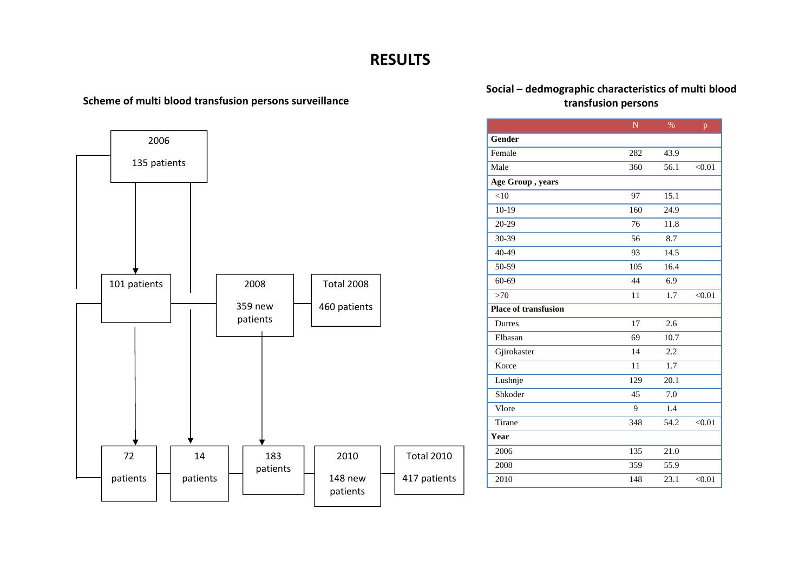# **RESULTS**

### **Scheme of multi blood transfusion persons transfusion persons surveillance**



# **Social – dedmographic characteristics of multi blood**

|                             | N   | $\%$ | p      |
|-----------------------------|-----|------|--------|
| <b>Gender</b>               |     |      |        |
| Female                      | 282 | 43.9 |        |
| Male                        | 360 | 56.1 | < 0.01 |
| Age Group, years            |     |      |        |
| $<$ 10                      | 97  | 15.1 |        |
| $10-19$                     | 160 | 24.9 |        |
| 20-29                       | 76  | 11.8 |        |
| 30-39                       | 56  | 8.7  |        |
| 40-49                       | 93  | 14.5 |        |
| 50-59                       | 105 | 16.4 |        |
| 60-69                       | 44  | 6.9  |        |
| >70                         | 11  | 1.7  | < 0.01 |
| <b>Place of transfusion</b> |     |      |        |
| Durres                      | 17  | 2.6  |        |
| Elbasan                     | 69  | 10.7 |        |
| Gjirokaster                 | 14  | 2.2  |        |
| Korce                       | 11  | 1.7  |        |
| Lushnje                     | 129 | 20.1 |        |
| Shkoder                     | 45  | 7.0  |        |
| Vlore                       | 9   | 1.4  |        |
| Tirane                      | 348 | 54.2 | < 0.01 |
| Year                        |     |      |        |
| 2006                        | 135 | 21.0 |        |
| 2008                        | 359 | 55.9 |        |
| 2010                        | 148 | 23.1 | < 0.01 |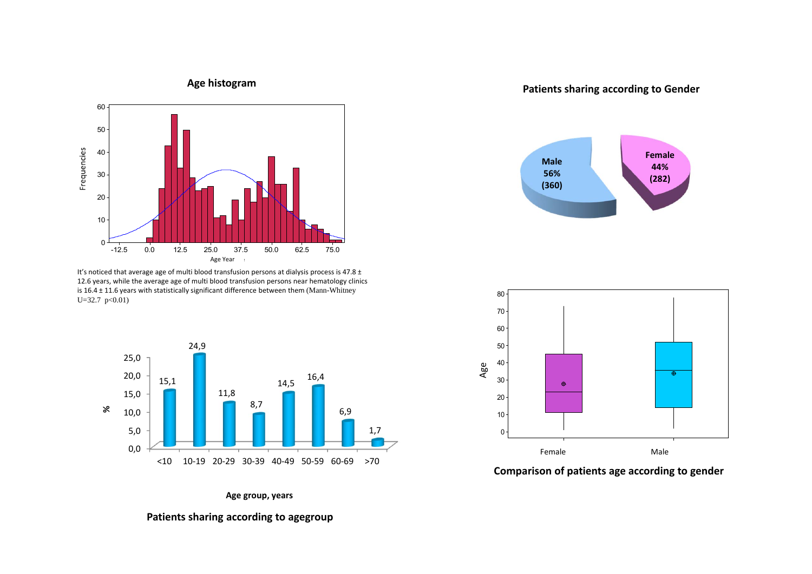

It's noticed that average age of multi blood transfusion persons at dialysis process is 47.8  $\pm$ 12.6 years, while the average age of multi blood transfusion persons near hematology clinics is 16.4 <sup>±</sup> 11.6 years with statistically significant difference between them (Mann-Whitney  $U=32.7$  p<0.01)



#### **Age group, years**

**Patients sharing according to agegroup**

**sharing according to Gender**





**Comparison of patients age according to gender**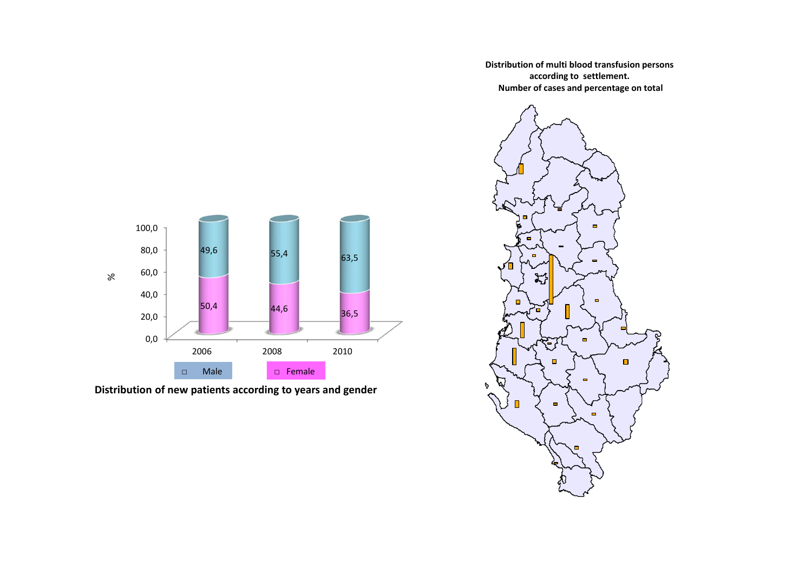0,0 20,0 40,0 60,0 80,0 100,0 2006 2008 20102010 50,4 44,6 36,5 49,6 55,4 63,5 % □ Female  $\neg$  Male

**Distribution of new patients according to years and gender**

**Distribution of multi blood transfusion persons according to settlement. Number of cases and percentage on total**

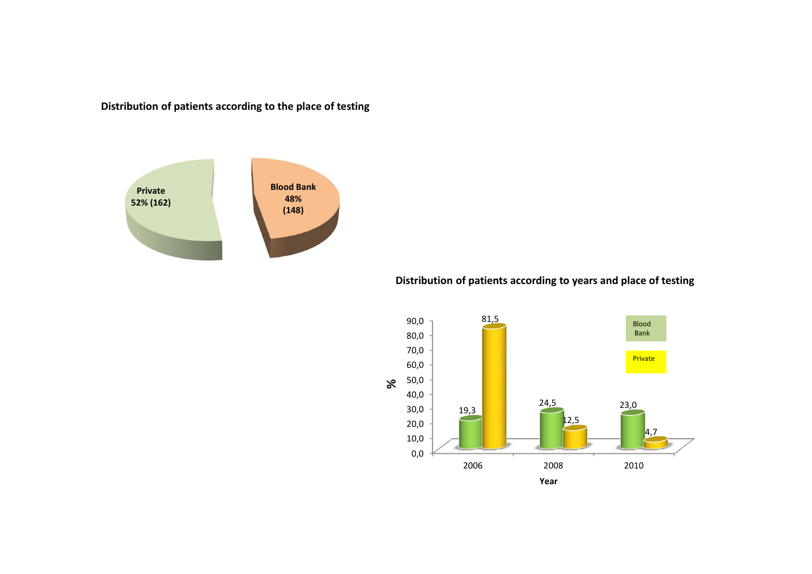**Distribution of patients according to the place of testing**

![](_page_9_Figure_1.jpeg)

#### **Distribution of patients according to years and place of testing**

![](_page_9_Figure_3.jpeg)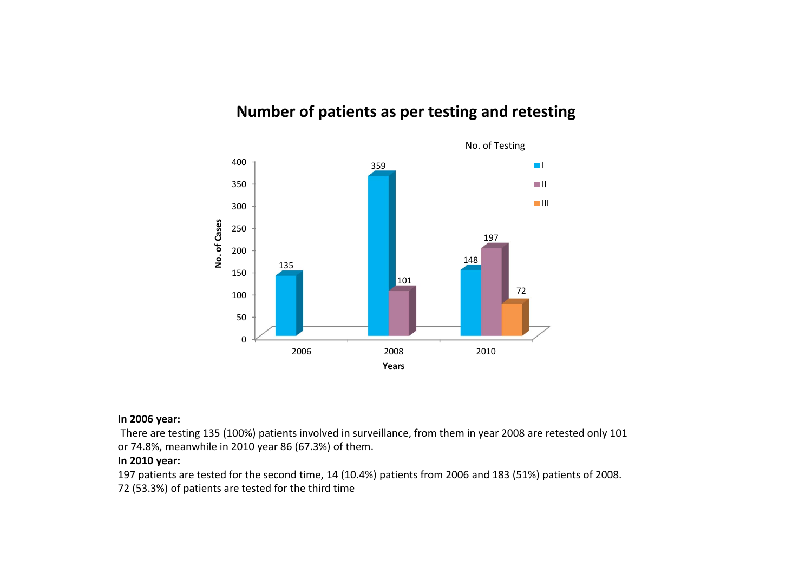# **Number of patients as per testing and retesting**

![](_page_10_Figure_1.jpeg)

#### **In 2006 year:**

There are testing 135 (100%) patients involved in surveillance, from them in year 2008 are retested only 101 or 74.8%, meanwhile in 2010 year 86 (67.3%) of them.

#### **In 2010 year:**

197 patients are tested for the second time, 14 (10.4%) patients from 2006 and 183 (51%) patients of 2008. 72 (53.3%) of patients are tested for the third time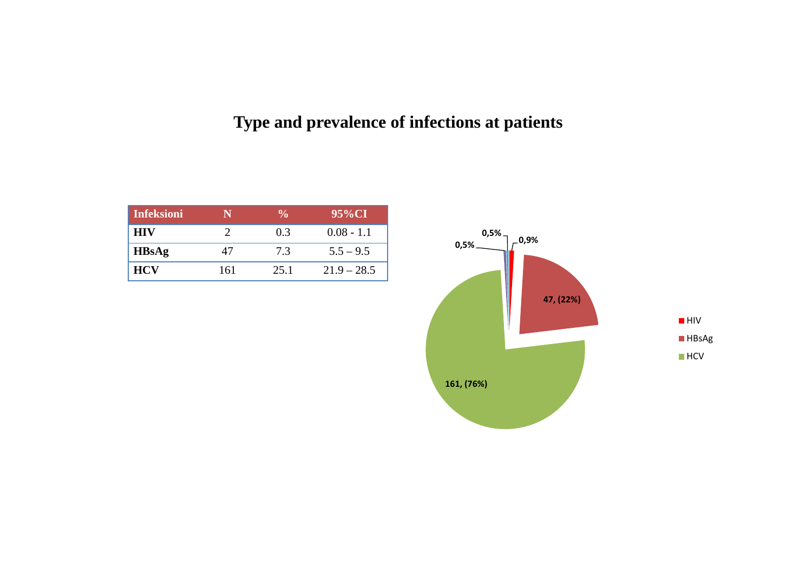# **Type and prevalence of infections at patients**

| <b>Infeksioni</b> | N   | $\frac{0}{\alpha}$ | 95%CI         |
|-------------------|-----|--------------------|---------------|
| <b>HIV</b>        |     | 0.3                | $0.08 - 1.1$  |
| <b>HBsAg</b>      | 47  | 73                 | $5.5 - 9.5$   |
| <b>HCV</b>        | 161 | 25.1               | $21.9 - 28.5$ |

![](_page_11_Figure_2.jpeg)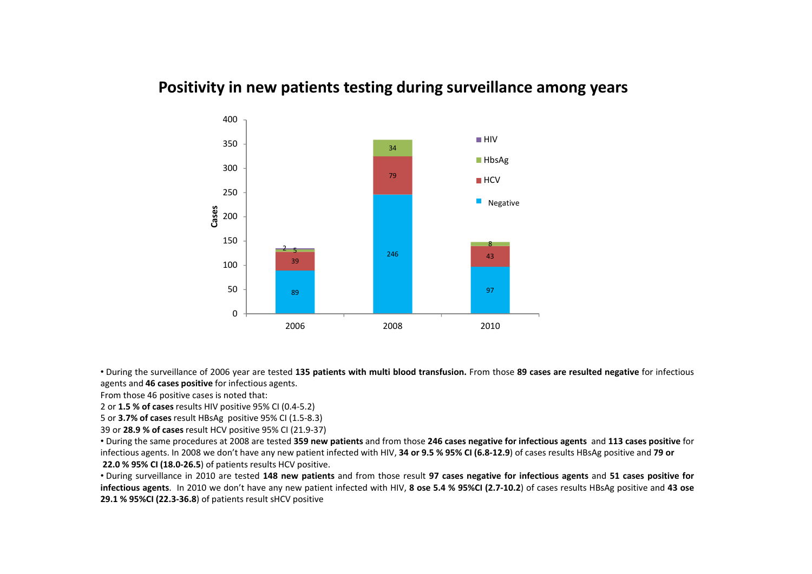# **Positivity in new patients testing during surveillance among years**

![](_page_12_Figure_1.jpeg)

• During the surveillance of 2006 year are tested 135 patients with multi blood transfusion. From those 89 cases are resulted negative for infectious agents and **46 cases positive** for infectious agents.

From those 46 positive cases is noted that:

2 or **1.5 % of cases** results HIV positive 95% CI (0.4‐5.2)

5 or **3.7% of cases** result HBsAg positive 95% CI (1.5‐8.3)

39 or **28.9 % of cases** result HCV positive 95% CI (21.9‐37)

• During the same procedures at 2008 are tested 359 new patients and from those 246 cases negative for infectious agents and 113 cases positive for infectious agents. In 2008 we don't have any new patient infected with HIV, 34 or 9.5 % 95% CI (6.8-12.9) of cases results HBsAg positive and 79 or **22.0 % 95% CI (18.0‐26.5**) of patients results HCV positive.

• During surveillance in 2010 are tested 148 new patients and from those result 97 cases negative for infectious agents and 51 cases positive for infectious agents. In 2010 we don't have any new patient infected with HIV, 8 ose 5.4 % 95%CI (2.7-10.2) of cases results HBsAg positive and 43 ose **29.1 % 95%CI (22.3‐36.8**) of patients result sHCV positive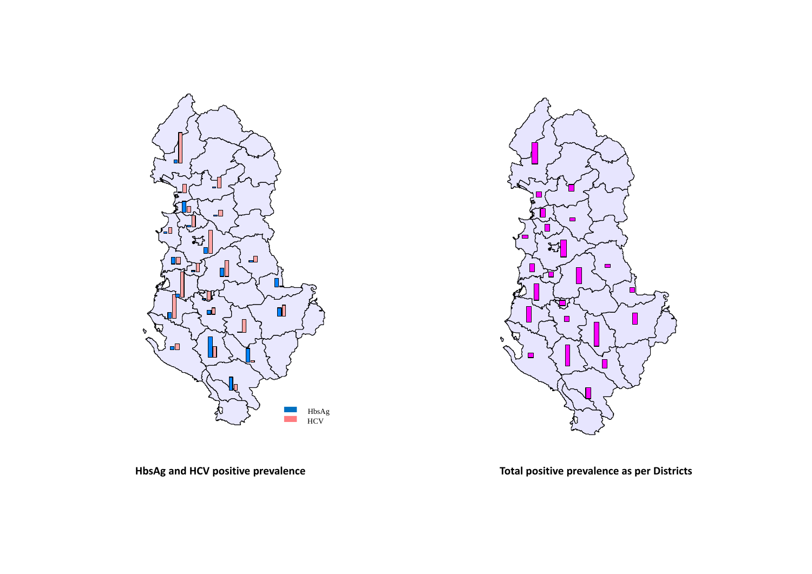![](_page_13_Figure_0.jpeg)

![](_page_13_Figure_1.jpeg)

**HbsAg and HCV positive prevalence Total positive prevalence as per Districts**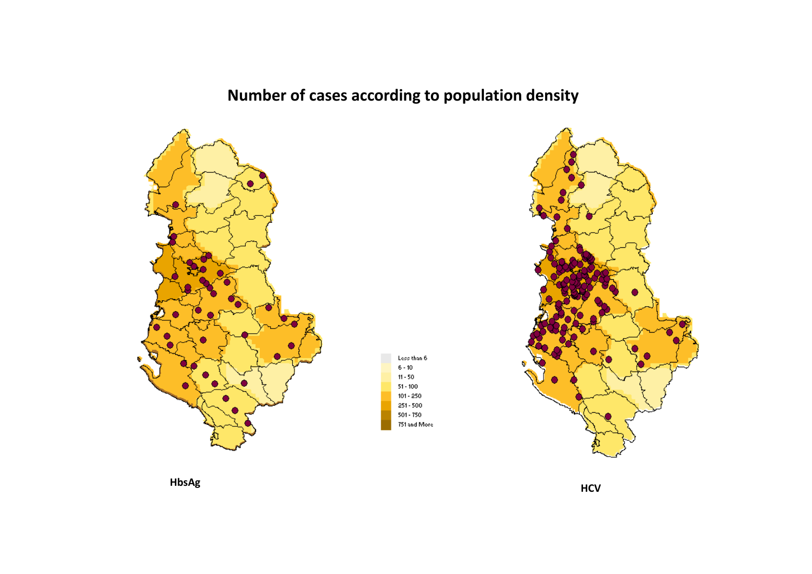**Number of cases according to population density**

Less than 6  $6 - 10$  $11 - 50$  $51 - 100$  $101 - 250$  $251 - 500$ 501 - 750 751 and More

![](_page_14_Figure_1.jpeg)

![](_page_14_Figure_2.jpeg)

![](_page_14_Figure_3.jpeg)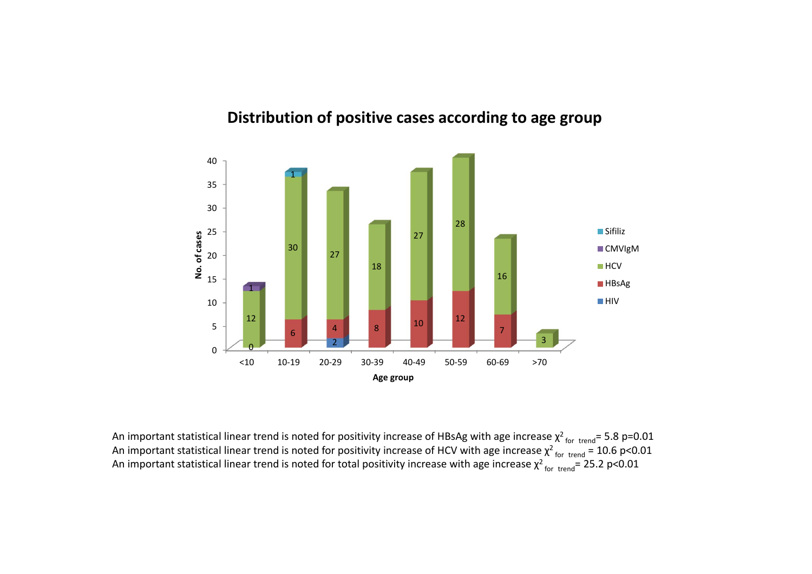![](_page_15_Figure_0.jpeg)

### **Distribution of positive cases according to age group**

An important statistical linear trend is noted for positivity increase of HBsAg with age increase  $\chi^2$ <sub>for trend</sub>= 5.8 p=0.01 An important statistical linear trend is noted for positivity increase of HCV with age increase  $\chi^2$  for trend = 10.6 p<0.01 An important statistical linear trend is noted for total positivity increase with age increase  $\chi^2$  for trend= 25.2 p<0.01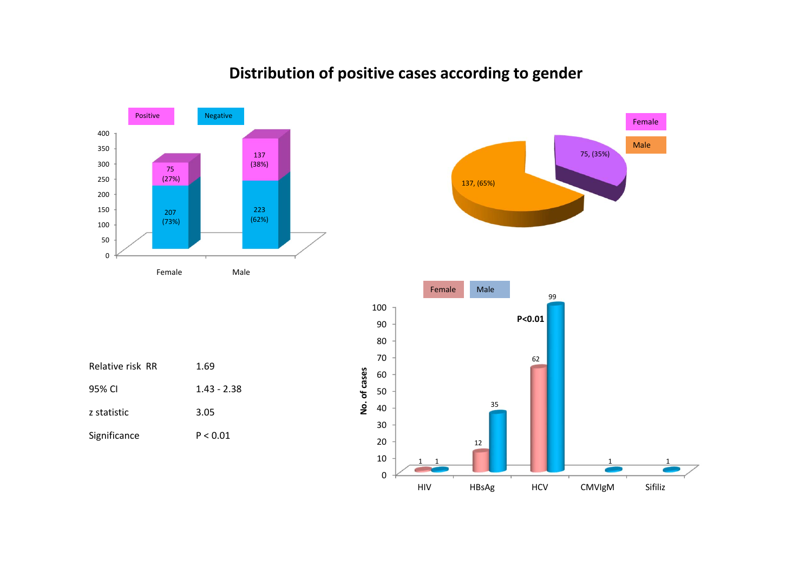![](_page_16_Figure_0.jpeg)

# **Distribution of positive cases according to gender**

![](_page_16_Figure_2.jpeg)

75, (35%)

Male

Female

| Relative risk RR | 1.69        |
|------------------|-------------|
| 95% CI           | 1.43 - 2.38 |
| z statistic      | 3.05        |
| Significance     | P < 0.01    |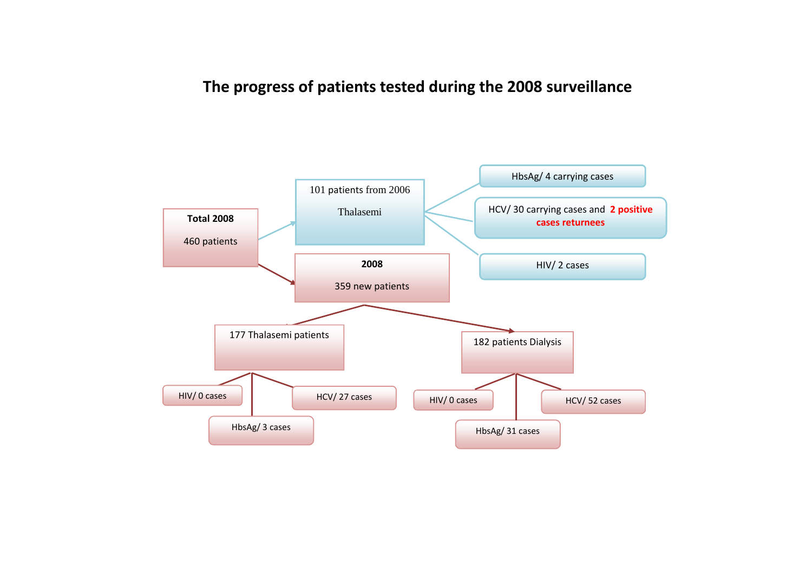# **The progress of patients tested during the 2008 surveillance**

![](_page_17_Figure_1.jpeg)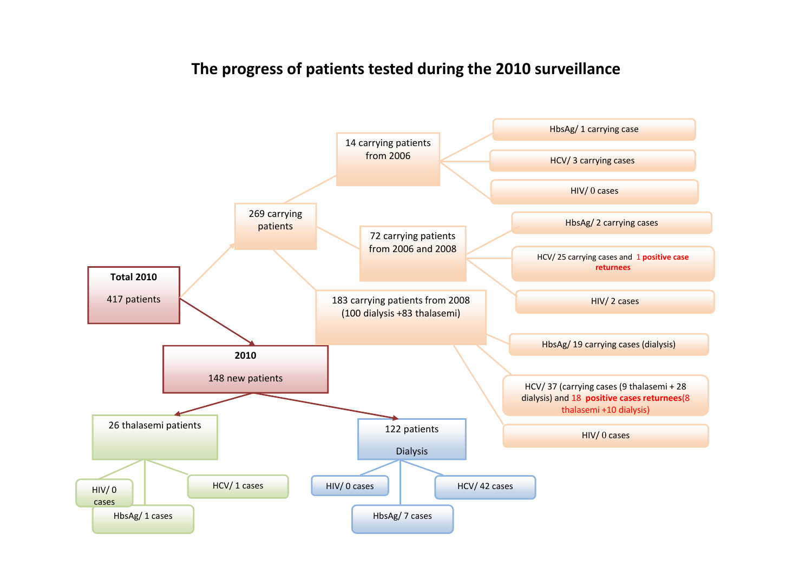# **The progress of patients tested during the 2010 surveillance**

![](_page_18_Figure_1.jpeg)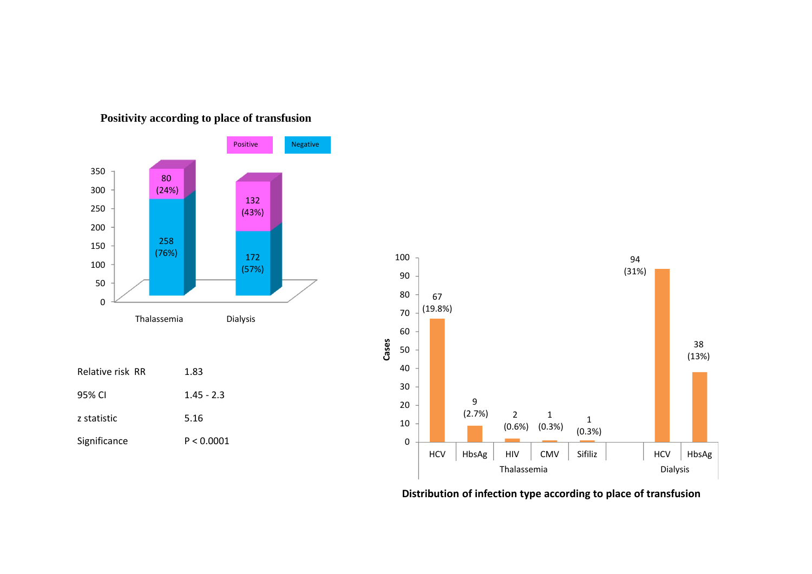![](_page_19_Figure_0.jpeg)

### **Positivity according to place of transfusion**

![](_page_19_Figure_2.jpeg)

**Distribution of infection type according to place of transfusion**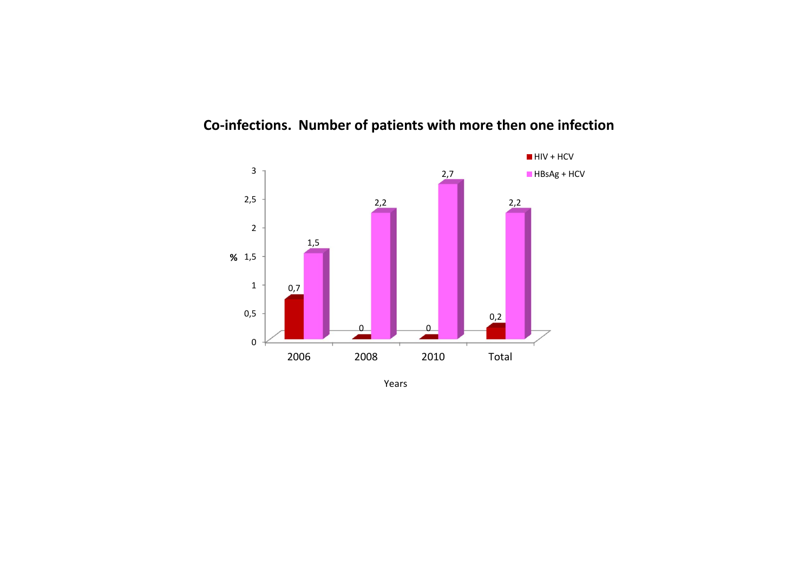![](_page_20_Figure_0.jpeg)

### **Co‐infections. Number of patients with more then one infection**

Years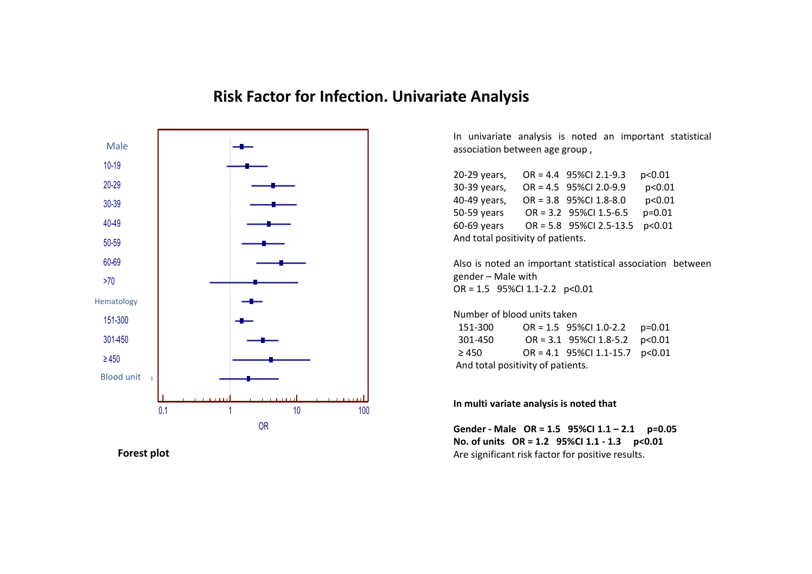### **Risk Factor for Infection. Univariate Analysis**

![](_page_21_Figure_1.jpeg)

**Forest**

In univariate analysis is noted an important statistical association between age group ,

| 20-29 years,                      |  | $OR = 4.4$ 95%Cl 2.1-9.3  | p<0.01   |  |
|-----------------------------------|--|---------------------------|----------|--|
| 30-39 years,                      |  | OR = 4.5 95%Cl 2.0-9.9    | p<0.01   |  |
| 40-49 years,                      |  | OR = 3.8 95%Cl 1.8-8.0    | p<0.01   |  |
| 50-59 years                       |  | OR = 3.2 95%Cl 1.5-6.5    | $p=0.01$ |  |
| 60-69 years                       |  | $OR = 5.8$ 95%Cl 2.5-13.5 | p<0.01   |  |
| And total positivity of patients. |  |                           |          |  |

Also is noted an important statistical association between gender – Male with OR <sup>=</sup> 1.5 95%CI 1.1‐2.2 p<0.01

### Number of blood units taken

| 151-300                           | OR = 1.5 95%Cl 1.0-2.2 p=0.01    |  |
|-----------------------------------|----------------------------------|--|
| 301-450                           | OR = $3.1$ 95%Cl 1.8-5.2 p<0.01  |  |
| $\geq 450$                        | OR = 4.1 95%Cl 1.1-15.7 $p<0.01$ |  |
| And total positivity of patients. |                                  |  |

**In multi variate analysis is noted that**

**Gender ‐ Male OR <sup>=</sup> 1.5 95%CI 1.1 – 2.1 p=0.05 No. of units OR <sup>=</sup> 1.2 95%CI 1.1 ‐ 1.3 p<0.01** Are significant risk factor for positive results.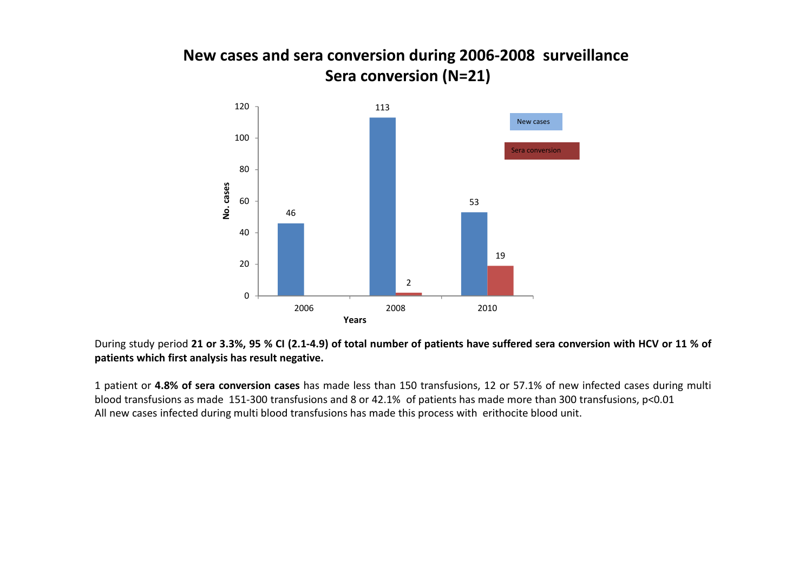# **New cases and sera conversion during 2006‐2008 surveillance Sera conversion (N=21)**

![](_page_22_Figure_1.jpeg)

During study period 21 or 3.3%, 95 % CI (2.1-4.9) of total number of patients have suffered sera conversion with HCV or 11 % of **patients which first analysis has result negative.**

1 patient or **4.8% of sera conversion cases** has made less than 150 transfusions, 12 or 57.1% of new infected cases during multi blood transfusions as made 151‐300 transfusions and 8 or 42.1% of patients has made more than 300 transfusions, p<0.01 All new cases infected during multi blood transfusions has made this process with erithocite blood unit.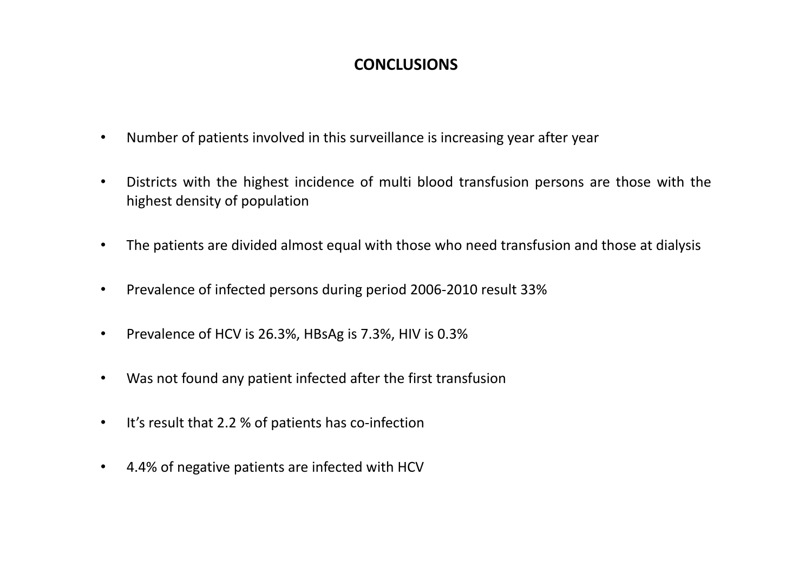# **CONCLUSIONS**

- •Number of patients involved in this surveillance is increasing year after year
- • Districts with the highest incidence of multi blood transfusion persons are those with the highest density of population
- •The patients are divided almost equal with those who need transfusion and those at dialysis
- $\bullet$ Prevalence of infected persons during period 2006‐2010 result 33%
- $\bullet$ Prevalence of HCV is 26.3%, HBsAg is 7.3%, HIV is 0.3%
- $\bullet$ Was not found any patient infected after the first transfusion
- •■ It's result that 2.2 % of patients has co-infection
- $\bullet$ 4.4% of negative patients are infected with HCV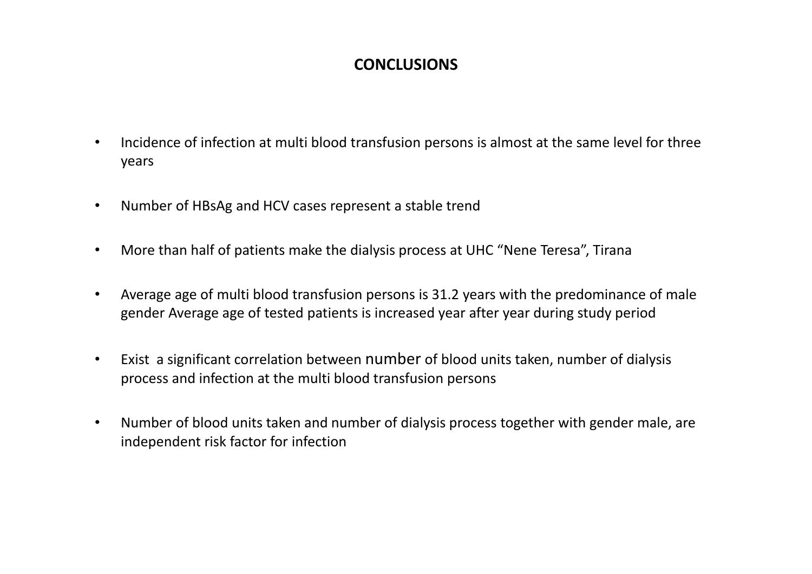# **CONCLUSIONS**

- •• Incidence of infection at multi blood transfusion persons is almost at the same level for three years
- •Number of HBsAg and HCV cases represent <sup>a</sup> stable trend
- •More than half of patients make the dialysis process at UHC "Nene Teresa", Tirana
- • Average age of multi blood transfusion persons is 31.2 years with the predominance of male gender Average age of tested patients is increased year after year during study period
- $\bullet$  Exist a significant correlation between number of blood units taken, number of dialysis process and infection at the multi blood transfusion persons
- $\bullet$  Number of blood units taken and number of dialysis process together with gender male, are independent risk factor for infection